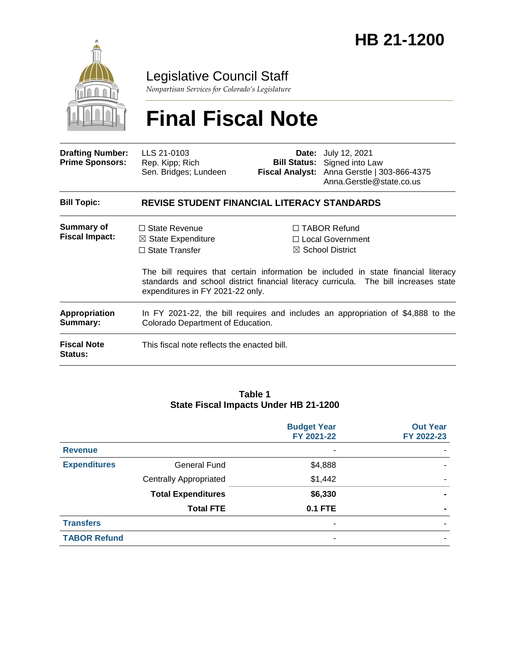

# Legislative Council Staff

*Nonpartisan Services for Colorado's Legislature*

# **Final Fiscal Note**

| <b>Drafting Number:</b><br><b>Prime Sponsors:</b> | LLS 21-0103<br>Rep. Kipp; Rich<br>Sen. Bridges; Lundeen                                                               |  | <b>Date:</b> July 12, 2021<br><b>Bill Status:</b> Signed into Law<br>Fiscal Analyst: Anna Gerstle   303-866-4375<br>Anna.Gerstle@state.co.us                                                                                                                |  |  |  |
|---------------------------------------------------|-----------------------------------------------------------------------------------------------------------------------|--|-------------------------------------------------------------------------------------------------------------------------------------------------------------------------------------------------------------------------------------------------------------|--|--|--|
| <b>Bill Topic:</b>                                | <b>REVISE STUDENT FINANCIAL LITERACY STANDARDS</b>                                                                    |  |                                                                                                                                                                                                                                                             |  |  |  |
| Summary of<br><b>Fiscal Impact:</b>               | $\Box$ State Revenue<br>$\boxtimes$ State Expenditure<br>$\Box$ State Transfer<br>expenditures in FY 2021-22 only.    |  | $\Box$ TABOR Refund<br>$\Box$ Local Government<br>$\boxtimes$ School District<br>The bill requires that certain information be included in state financial literacy<br>standards and school district financial literacy curricula. The bill increases state |  |  |  |
| Appropriation<br>Summary:                         | In FY 2021-22, the bill requires and includes an appropriation of \$4,888 to the<br>Colorado Department of Education. |  |                                                                                                                                                                                                                                                             |  |  |  |
| <b>Fiscal Note</b><br><b>Status:</b>              | This fiscal note reflects the enacted bill.                                                                           |  |                                                                                                                                                                                                                                                             |  |  |  |

#### **Table 1 State Fiscal Impacts Under HB 21-1200**

|                     |                               | <b>Budget Year</b><br>FY 2021-22 | <b>Out Year</b><br>FY 2022-23 |
|---------------------|-------------------------------|----------------------------------|-------------------------------|
| <b>Revenue</b>      |                               | ٠                                |                               |
| <b>Expenditures</b> | <b>General Fund</b>           | \$4,888                          |                               |
|                     | <b>Centrally Appropriated</b> | \$1,442                          |                               |
|                     | <b>Total Expenditures</b>     | \$6,330                          |                               |
|                     | <b>Total FTE</b>              | <b>0.1 FTE</b>                   | $\blacksquare$                |
| <b>Transfers</b>    |                               | $\overline{\phantom{a}}$         |                               |
| <b>TABOR Refund</b> |                               | ٠                                |                               |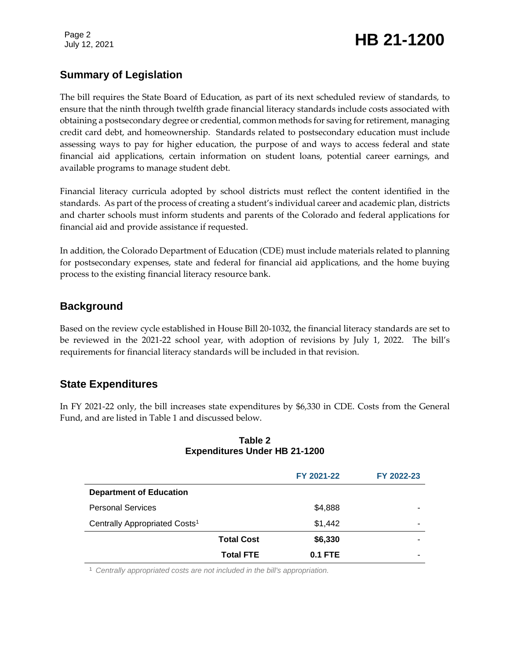Page 2

# Page 2<br>July 12, 2021 **HB 21-1200**

# **Summary of Legislation**

The bill requires the State Board of Education, as part of its next scheduled review of standards, to ensure that the ninth through twelfth grade financial literacy standards include costs associated with obtaining a postsecondary degree or credential, common methods for saving for retirement, managing credit card debt, and homeownership. Standards related to postsecondary education must include assessing ways to pay for higher education, the purpose of and ways to access federal and state financial aid applications, certain information on student loans, potential career earnings, and available programs to manage student debt.

Financial literacy curricula adopted by school districts must reflect the content identified in the standards. As part of the process of creating a student's individual career and academic plan, districts and charter schools must inform students and parents of the Colorado and federal applications for financial aid and provide assistance if requested.

In addition, the Colorado Department of Education (CDE) must include materials related to planning for postsecondary expenses, state and federal for financial aid applications, and the home buying process to the existing financial literacy resource bank.

# **Background**

Based on the review cycle established in House Bill 20-1032, the financial literacy standards are set to be reviewed in the 2021-22 school year, with adoption of revisions by July 1, 2022. The bill's requirements for financial literacy standards will be included in that revision.

# **State Expenditures**

In FY 2021-22 only, the bill increases state expenditures by \$6,330 in CDE. Costs from the General Fund, and are listed in Table 1 and discussed below.

|                                           |                   | FY 2021-22 | FY 2022-23 |
|-------------------------------------------|-------------------|------------|------------|
| <b>Department of Education</b>            |                   |            |            |
| <b>Personal Services</b>                  |                   | \$4,888    |            |
| Centrally Appropriated Costs <sup>1</sup> |                   | \$1,442    | -          |
|                                           | <b>Total Cost</b> | \$6,330    | -          |
|                                           | <b>Total FTE</b>  | $0.1$ FTE  | -          |

#### **Table 2 Expenditures Under HB 21-1200**

<sup>1</sup> *Centrally appropriated costs are not included in the bill's appropriation.*